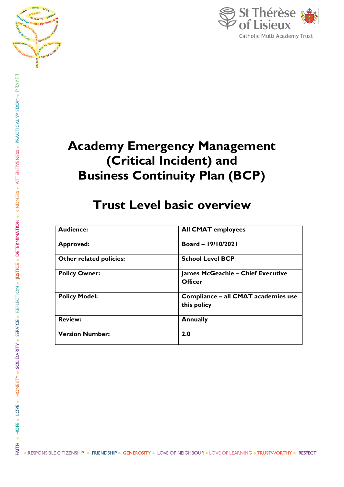



# **Academy Emergency Management (Critical Incident) and Business Continuity Plan (BCP)**

# **Trust Level basic overview**

| <b>Audience:</b>        | <b>All CMAT employees</b>                           |
|-------------------------|-----------------------------------------------------|
| <b>Approved:</b>        | Board - 19/10/2021                                  |
| Other related policies: | <b>School Level BCP</b>                             |
| <b>Policy Owner:</b>    | <b>James McGeachie – Chief Executive</b><br>Officer |
| <b>Policy Model:</b>    | Compliance - all CMAT academies use<br>this policy  |
| <b>Review:</b>          | <b>Annually</b>                                     |
| <b>Version Number:</b>  | 2.0                                                 |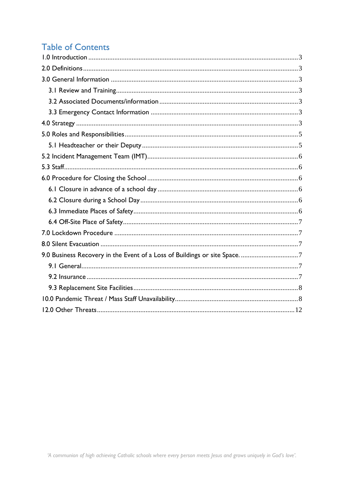# **Table of Contents**

| 9.0 Business Recovery in the Event of a Loss of Buildings or site Space7 |  |
|--------------------------------------------------------------------------|--|
|                                                                          |  |
|                                                                          |  |
|                                                                          |  |
|                                                                          |  |
|                                                                          |  |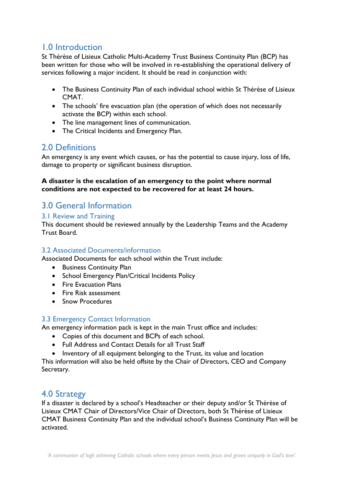# <span id="page-2-0"></span>1.0 Introduction

St Thérèse of Lisieux Catholic Multi-Academy Trust Business Continuity Plan (BCP) has been written for those who will be involved in re-establishing the operational delivery of services following a major incident. It should be read in conjunction with:

- The Business Continuity Plan of each individual school within St Thérèse of Lisieux CMAT.
- The schools' fire evacuation plan (the operation of which does not necessarily activate the BCP) within each school.
- The line management lines of communication.
- The Critical Incidents and Emergency Plan.

# <span id="page-2-1"></span>2.0 Definitions

An emergency is any event which causes, or has the potential to cause injury, loss of life, damage to property or significant business disruption.

#### **A disaster is the escalation of an emergency to the point where normal conditions are not expected to be recovered for at least 24 hours.**

# <span id="page-2-2"></span>3.0 General Information

### <span id="page-2-3"></span>3.1 Review and Training

This document should be reviewed annually by the Leadership Teams and the Academy Trust Board.

### <span id="page-2-4"></span>3.2 Associated Documents/information

Associated Documents for each school within the Trust include:

- Business Continuity Plan
- School Emergency Plan/Critical Incidents Policy
- Fire Evacuation Plans
- Fire Risk assessment
- Snow Procedures

### <span id="page-2-5"></span>3.3 Emergency Contact Information

An emergency information pack is kept in the main Trust office and includes:

- Copies of this document and BCPs of each school.
- Full Address and Contact Details for all Trust Staff
- Inventory of all equipment belonging to the Trust, its value and location

This information will also be held offsite by the Chair of Directors, CEO and Company Secretary.

## <span id="page-2-6"></span>4.0 Strategy

If a disaster is declared by a school's Headteacher or their deputy and/or St Thérèse of Lisieux CMAT Chair of Directors/Vice Chair of Directors, both St Thérèse of Lisieux CMAT Business Continuity Plan and the individual school's Business Continuity Plan will be activated.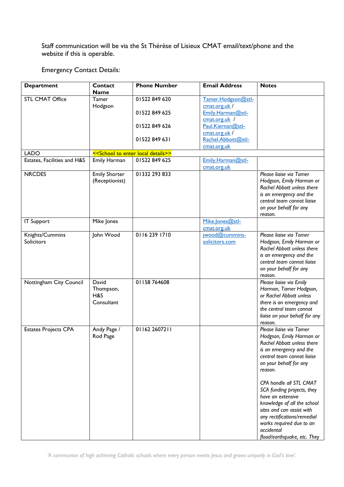Staff communication will be via the St Thérèse of Lisieux CMAT email/text/phone and the website if this is operable.

Emergency Contact Details:

| <b>Department</b>           | Contact              | <b>Phone Number</b>                | <b>Email Address</b> | <b>Notes</b>                  |
|-----------------------------|----------------------|------------------------------------|----------------------|-------------------------------|
|                             | <b>Name</b>          |                                    |                      |                               |
| <b>STL CMAT Office</b>      | Tamer                | 01522 849 620                      | Tamer.Hodgson@stl-   |                               |
|                             | Hodgson              |                                    | cmat.org.uk/         |                               |
|                             |                      | 01522 849 625                      | Emily.Harman@stl-    |                               |
|                             |                      |                                    | cmat.org.uk /        |                               |
|                             |                      | 01522849626                        | Paul.Kiernan@stl-    |                               |
|                             |                      |                                    | cmat.org.uk/         |                               |
|                             |                      | 01522 849 631                      | Rachel.Abbott@stl-   |                               |
|                             |                      |                                    | cmat.org.uk          |                               |
| <b>LADO</b>                 |                      | << School to enter local details>> |                      |                               |
| Estates, Facilities and H&S | Emily Harman         | 01522 849 625                      | Emily.Harman@stl-    |                               |
|                             |                      |                                    | cmat.org.uk          |                               |
| <b>NRCDES</b>               | <b>Emily Shorter</b> | 01332 293 833                      |                      | Please liaise via Tamer       |
|                             | (Receptionist)       |                                    |                      | Hodgson, Emily Harman or      |
|                             |                      |                                    |                      | Rachel Abbott unless there    |
|                             |                      |                                    |                      | is an emergency and the       |
|                             |                      |                                    |                      | central team cannot liaise    |
|                             |                      |                                    |                      | on your behalf for any        |
|                             |                      |                                    |                      | reason.                       |
| <b>IT Support</b>           | Mike Jones           |                                    | Mike.Jones@stl-      |                               |
|                             |                      |                                    | cmat.org.uk          |                               |
| Knights/Cummins             | John Wood            | 0116 239 1710                      | iwood@cummins-       | Please liaise via Tamer       |
| <b>Solicitors</b>           |                      |                                    | solicitors.com       | Hodgson, Emily Harman or      |
|                             |                      |                                    |                      | Rachel Abbott unless there    |
|                             |                      |                                    |                      | is an emergency and the       |
|                             |                      |                                    |                      | central team cannot liaise    |
|                             |                      |                                    |                      |                               |
|                             |                      |                                    |                      | on your behalf for any        |
|                             | David                | 01158764608                        |                      | reason.                       |
| Nottingham City Council     |                      |                                    |                      | Please liaise via Emily       |
|                             | Thompson,            |                                    |                      | Harman, Tamer Hodgson,        |
|                             | H&S                  |                                    |                      | or Rachel Abbott unless       |
|                             | Consultant           |                                    |                      | there is an emergency and     |
|                             |                      |                                    |                      | the central team cannot       |
|                             |                      |                                    |                      | liaise on your behalf for any |
|                             |                      |                                    |                      | reason.                       |
| <b>Estates Projects CPA</b> | Andy Page /          | 01162 2607211                      |                      | Please liaise via Tamer       |
|                             | Rod Page             |                                    |                      | Hodgson, Emily Harman or      |
|                             |                      |                                    |                      | Rachel Abbott unless there    |
|                             |                      |                                    |                      | is an emergency and the       |
|                             |                      |                                    |                      | central team cannot liaise    |
|                             |                      |                                    |                      | on your behalf for any        |
|                             |                      |                                    |                      | reason.                       |
|                             |                      |                                    |                      |                               |
|                             |                      |                                    |                      | CPA handle all STL CMAT       |
|                             |                      |                                    |                      | SCA funding projects, they    |
|                             |                      |                                    |                      | have an extensive             |
|                             |                      |                                    |                      | knowledge of all the school   |
|                             |                      |                                    |                      | sites and can assist with     |
|                             |                      |                                    |                      | any rectifications/remedial   |
|                             |                      |                                    |                      | works required due to an      |
|                             |                      |                                    |                      | accidental                    |
|                             |                      |                                    |                      | flood/earthquake, etc. They   |

*'A communion of high achieving Catholic schools where every person meets Jesus and grows uniquely in God's love'.*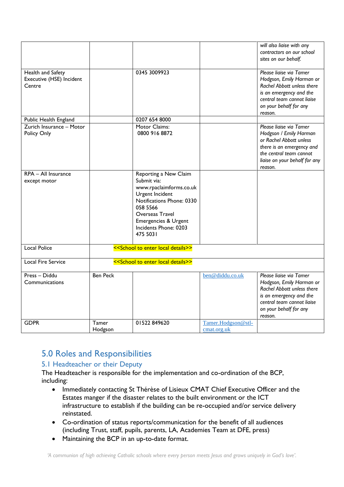|                                                         |                  |                                                                                                                                                                                                             |                                   | will also liaise with any<br>contractors on our school<br>sites on our behalf.                                                                                                   |
|---------------------------------------------------------|------------------|-------------------------------------------------------------------------------------------------------------------------------------------------------------------------------------------------------------|-----------------------------------|----------------------------------------------------------------------------------------------------------------------------------------------------------------------------------|
| Health and Safety<br>Executive (HSE) Incident<br>Centre |                  | 0345 3009923                                                                                                                                                                                                |                                   | Please liaise via Tamer<br>Hodgson, Emily Harman or<br>Rachel Abbott unless there<br>is an emergency and the<br>central team cannot liaise<br>on your behalf for any<br>reason.  |
| Public Health England                                   |                  | 0207 654 8000                                                                                                                                                                                               |                                   |                                                                                                                                                                                  |
| Zurich Insurance - Motor<br>Policy Only                 |                  | Motor Claims:<br>0800 916 8872                                                                                                                                                                              |                                   | Please liaise via Tamer<br>Hodgson / Emily Harman<br>or Rachel Abbott unless<br>there is an emergency and<br>the central team cannot<br>liaise on your behalf for any<br>reason. |
| RPA - All Insurance<br>except motor                     |                  | Reporting a New Claim<br>Submit via:<br>www.rpaclaimforms.co.uk<br>Urgent Incident<br>Notifications Phone: 0330<br>058 5566<br>Overseas Travel<br>Emergencies & Urgent<br>Incidents Phone: 0203<br>475 5031 |                                   |                                                                                                                                                                                  |
| <b>Local Police</b>                                     |                  | << School to enter local details>>                                                                                                                                                                          |                                   |                                                                                                                                                                                  |
| <b>Local Fire Service</b>                               |                  | << School to enter local details>>                                                                                                                                                                          |                                   |                                                                                                                                                                                  |
| Press - Diddu<br>Communications                         | <b>Ben Peck</b>  |                                                                                                                                                                                                             | ben@diddu.co.uk                   | Please liaise via Tamer<br>Hodgson, Emily Harman or<br>Rachel Abbott unless there<br>is an emergency and the<br>central team cannot liaise<br>on your behalf for any<br>reason.  |
| <b>GDPR</b>                                             | Tamer<br>Hodgson | 01522849620                                                                                                                                                                                                 | Tamer.Hodgson@stl-<br>cmat.org.uk |                                                                                                                                                                                  |

# <span id="page-4-0"></span>5.0 Roles and Responsibilities

### <span id="page-4-1"></span>5.1 Headteacher or their Deputy

The Headteacher is responsible for the implementation and co-ordination of the BCP, including:

- Immediately contacting St Thérèse of Lisieux CMAT Chief Executive Officer and the Estates manger if the disaster relates to the built environment or the ICT infrastructure to establish if the building can be re-occupied and/or service delivery reinstated.
- Co-ordination of status reports/communication for the benefit of all audiences (including Trust, staff, pupils, parents, LA, Academies Team at DFE, press)
- Maintaining the BCP in an up-to-date format.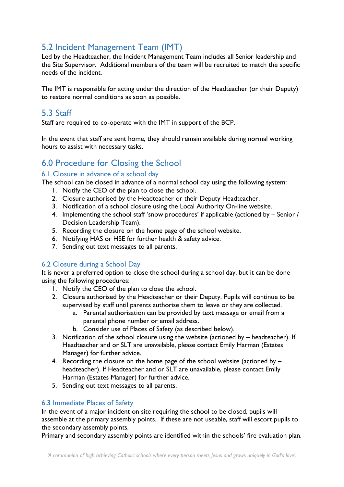# <span id="page-5-0"></span>5.2 Incident Management Team (IMT)

Led by the Headteacher, the Incident Management Team includes all Senior leadership and the Site Supervisor. Additional members of the team will be recruited to match the specific needs of the incident.

The IMT is responsible for acting under the direction of the Headteacher (or their Deputy) to restore normal conditions as soon as possible.

# <span id="page-5-1"></span>5.3 Staff

Staff are required to co-operate with the IMT in support of the BCP.

In the event that staff are sent home, they should remain available during normal working hours to assist with necessary tasks.

# <span id="page-5-2"></span>6.0 Procedure for Closing the School

### <span id="page-5-3"></span>6.1 Closure in advance of a school day

The school can be closed in advance of a normal school day using the following system:

- 1. Notify the CEO of the plan to close the school.
- 2. Closure authorised by the Headteacher or their Deputy Headteacher.
- 3. Notification of a school closure using the Local Authority On-line website.
- 4. Implementing the school staff 'snow procedures' if applicable (actioned by Senior / Decision Leadership Team).
- 5. Recording the closure on the home page of the school website.
- 6. Notifying HAS or HSE for further health & safety advice.
- 7. Sending out text messages to all parents.

### <span id="page-5-4"></span>6.2 Closure during a School Day

It is never a preferred option to close the school during a school day, but it can be done using the following procedures:

- 1. Notify the CEO of the plan to close the school.
- 2. Closure authorised by the Headteacher or their Deputy. Pupils will continue to be supervised by staff until parents authorise them to leave or they are collected.
	- a. Parental authorisation can be provided by text message or email from a parental phone number or email address.
	- b. Consider use of Places of Safety (as described below).
- 3. Notification of the school closure using the website (actioned by headteacher). If Headteacher and or SLT are unavailable, please contact Emily Harman (Estates Manager) for further advice.
- 4. Recording the closure on the home page of the school website (actioned by headteacher). If Headteacher and or SLT are unavailable, please contact Emily Harman (Estates Manager) for further advice.
- 5. Sending out text messages to all parents.

### <span id="page-5-5"></span>6.3 Immediate Places of Safety

In the event of a major incident on site requiring the school to be closed, pupils will assemble at the primary assembly points. If these are not useable, staff will escort pupils to the secondary assembly points.

Primary and secondary assembly points are identified within the schools' fire evaluation plan.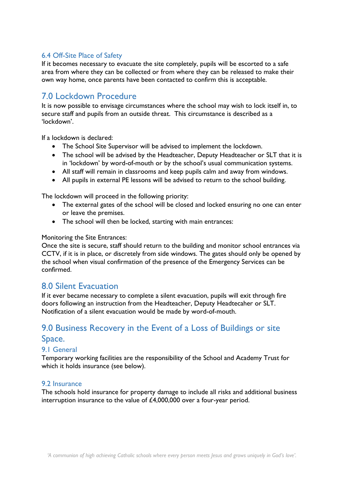### <span id="page-6-0"></span>6.4 Off-Site Place of Safety

If it becomes necessary to evacuate the site completely, pupils will be escorted to a safe area from where they can be collected or from where they can be released to make their own way home, once parents have been contacted to confirm this is acceptable.

# <span id="page-6-1"></span>7.0 Lockdown Procedure

It is now possible to envisage circumstances where the school may wish to lock itself in, to secure staff and pupils from an outside threat. This circumstance is described as a 'lockdown'.

If a lockdown is declared:

- The School Site Supervisor will be advised to implement the lockdown.
- The school will be advised by the Headteacher, Deputy Headteacher or SLT that it is in 'lockdown' by word-of-mouth or by the school's usual communication systems.
- All staff will remain in classrooms and keep pupils calm and away from windows.
- All pupils in external PE lessons will be advised to return to the school building.

The lockdown will proceed in the following priority:

- The external gates of the school will be closed and locked ensuring no one can enter or leave the premises.
- The school will then be locked, starting with main entrances:

#### Monitoring the Site Entrances:

Once the site is secure, staff should return to the building and monitor school entrances via CCTV, if it is in place, or discretely from side windows. The gates should only be opened by the school when visual confirmation of the presence of the Emergency Services can be confirmed.

### <span id="page-6-2"></span>8.0 Silent Evacuation

If it ever became necessary to complete a silent evacuation, pupils will exit through fire doors following an instruction from the Headteacher, Deputy Headtecaher or SLT. Notification of a silent evacuation would be made by word-of-mouth.

# <span id="page-6-3"></span>9.0 Business Recovery in the Event of a Loss of Buildings or site

#### Space.

#### <span id="page-6-4"></span>9.1 General

Temporary working facilities are the responsibility of the School and Academy Trust for which it holds insurance (see below).

#### <span id="page-6-5"></span>9.2 Insurance

The schools hold insurance for property damage to include all risks and additional business interruption insurance to the value of £4,000,000 over a four-year period.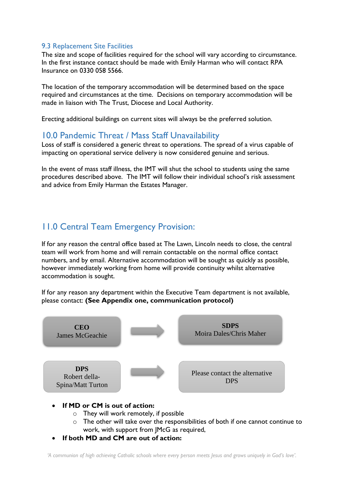### <span id="page-7-0"></span>9.3 Replacement Site Facilities

The size and scope of facilities required for the school will vary according to circumstance. In the first instance contact should be made with Emily Harman who will contact RPA Insurance on 0330 058 5566.

The location of the temporary accommodation will be determined based on the space required and circumstances at the time. Decisions on temporary accommodation will be made in liaison with The Trust, Diocese and Local Authority.

<span id="page-7-1"></span>Erecting additional buildings on current sites will always be the preferred solution.

## 10.0 Pandemic Threat / Mass Staff Unavailability

Loss of staff is considered a generic threat to operations. The spread of a virus capable of impacting on operational service delivery is now considered genuine and serious.

In the event of mass staff illness, the IMT will shut the school to students using the same procedures described above. The IMT will follow their individual school's risk assessment and advice from Emily Harman the Estates Manager.

# 11.0 Central Team Emergency Provision:

If for any reason the central office based at The Lawn, Lincoln needs to close, the central team will work from home and will remain contactable on the normal office contact numbers, and by email. Alternative accommodation will be sought as quickly as possible, however immediately working from home will provide continuity whilst alternative accommodation is sought.

If for any reason any department within the Executive Team department is not available, please contact: **(See Appendix one, communication protocol)**



- **If MD or CM is out of action:** 
	- o They will work remotely, if possible
	- $\circ$  The other will take over the responsibilities of both if one cannot continue to work, with support from JMcG as required,
- **If both MD and CM are out of action:**

*'A communion of high achieving Catholic schools where every person meets Jesus and grows uniquely in God's love'.*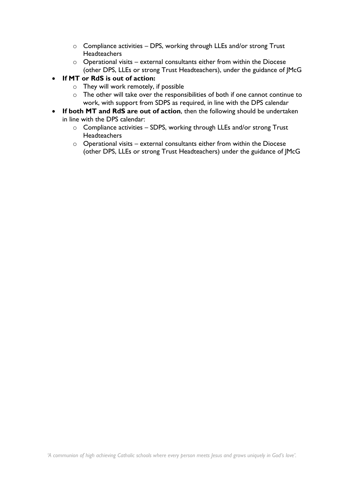- o Compliance activities DPS, working through LLEs and/or strong Trust **Headteachers**
- o Operational visits external consultants either from within the Diocese (other DPS, LLEs or strong Trust Headteachers), under the guidance of JMcG
- **If MT or RdS is out of action:** 
	- o They will work remotely, if possible
	- o The other will take over the responsibilities of both if one cannot continue to work, with support from SDPS as required, in line with the DPS calendar
- **If both MT and RdS are out of action**, then the following should be undertaken in line with the DPS calendar:
	- $\circ$  Compliance activities SDPS, working through LLEs and/or strong Trust **Headteachers**
	- o Operational visits external consultants either from within the Diocese (other DPS, LLEs or strong Trust Headteachers) under the guidance of JMcG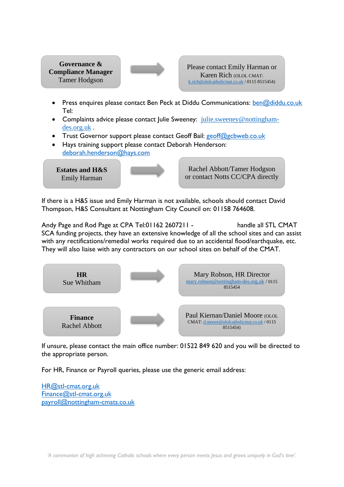**Governance & Compliance Manager** Tamer Hodgson



Please contact Emily Harman or Karen Rich (OLOL CMAT: [k.rich@ololcatholicmat.co.uk](mailto:k.rich@ololcatholicmat.co.uk) / 0115 8515454)

- Press enquires please contact Ben Peck at Diddu Communications: [ben@diddu.co.uk](mailto:ben@diddu.co.uk) Tel:
- Complaints advice please contact Julie Sweeney:  $\text{iulie}_\text{sweenev@nottingham-}$ [des.org.uk](mailto:julie.sweeney@nottingham-des.org.uk) .
- Trust Governor support please contact Geoff Bail: [geoff@gcbweb.co.uk](mailto:geoff@gcbweb.co.uk)
- Hays training support please contact Deborah Henderson: [deborah.henderson@hays.com](mailto:deborah.henderson@hays.com)

**Estates and H&S** Emily Harman

Rachel Abbott/Tamer Hodgson or contact Notts CC/CPA directly

If there is a H&S issue and Emily Harman is not available, schools should contact David Thompson, H&S Consultant at Nottingham City Council on: 01158 764608.

Andy Page and Rod Page at CPA Tel:01162 2607211 - 0791 handle all STL CMAT SCA funding projects, they have an extensive knowledge of all the school sites and can assist with any rectifications/remedial works required due to an accidental flood/earthquake, etc. They will also liaise with any contractors on our school sites on behalf of the CMAT.



If unsure, please contact the main office number: 01522 849 620 and you will be directed to the appropriate person.

For HR, Finance or Payroll queries, please use the generic email address:

[HR@stl-cmat.org.uk](mailto:HR@stl-cmat.org.uk) [Finance@stl-cmat.org.uk](mailto:Finance@stl-cmat.org.uk) [payroll@nottingham-cmats.co.uk](mailto:payroll@nottingham-cmats.co.uk)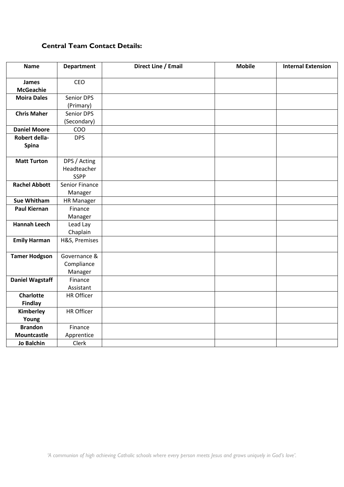### **Central Team Contact Details:**

| <b>Name</b>            | <b>Department</b> | Direct Line / Email | <b>Mobile</b> | <b>Internal Extension</b> |
|------------------------|-------------------|---------------------|---------------|---------------------------|
| <b>James</b>           | CEO               |                     |               |                           |
| <b>McGeachie</b>       |                   |                     |               |                           |
| <b>Moira Dales</b>     | Senior DPS        |                     |               |                           |
|                        | (Primary)         |                     |               |                           |
| <b>Chris Maher</b>     | Senior DPS        |                     |               |                           |
|                        | (Secondary)       |                     |               |                           |
| <b>Daniel Moore</b>    | COO               |                     |               |                           |
| Robert della-          | <b>DPS</b>        |                     |               |                           |
| Spina                  |                   |                     |               |                           |
|                        |                   |                     |               |                           |
| <b>Matt Turton</b>     | DPS / Acting      |                     |               |                           |
|                        | Headteacher       |                     |               |                           |
|                        | <b>SSPP</b>       |                     |               |                           |
| <b>Rachel Abbott</b>   | Senior Finance    |                     |               |                           |
|                        | Manager           |                     |               |                           |
| <b>Sue Whitham</b>     | <b>HR Manager</b> |                     |               |                           |
| <b>Paul Kiernan</b>    | Finance           |                     |               |                           |
|                        | Manager           |                     |               |                           |
| <b>Hannah Leech</b>    | Lead Lay          |                     |               |                           |
|                        | Chaplain          |                     |               |                           |
| <b>Emily Harman</b>    | H&S, Premises     |                     |               |                           |
|                        |                   |                     |               |                           |
| <b>Tamer Hodgson</b>   | Governance &      |                     |               |                           |
|                        | Compliance        |                     |               |                           |
|                        | Manager           |                     |               |                           |
| <b>Daniel Wagstaff</b> | Finance           |                     |               |                           |
|                        | Assistant         |                     |               |                           |
| <b>Charlotte</b>       | HR Officer        |                     |               |                           |
| <b>Findlay</b>         |                   |                     |               |                           |
| Kimberley              | <b>HR Officer</b> |                     |               |                           |
| Young                  |                   |                     |               |                           |
| <b>Brandon</b>         | Finance           |                     |               |                           |
| <b>Mountcastle</b>     | Apprentice        |                     |               |                           |
| <b>Jo Balchin</b>      | Clerk             |                     |               |                           |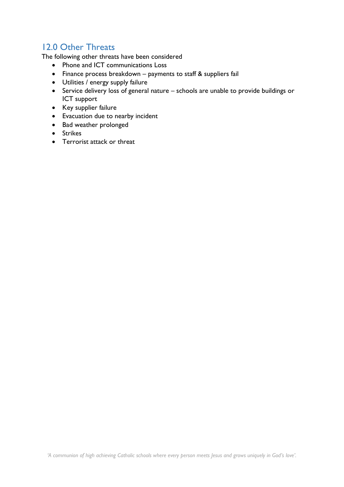# <span id="page-11-0"></span>12.0 Other Threats

The following other threats have been considered

- Phone and ICT communications Loss
- Finance process breakdown payments to staff & suppliers fail
- Utilities / energy supply failure
- Service delivery loss of general nature schools are unable to provide buildings or ICT support
- Key supplier failure
- Evacuation due to nearby incident
- Bad weather prolonged
- Strikes
- Terrorist attack or threat